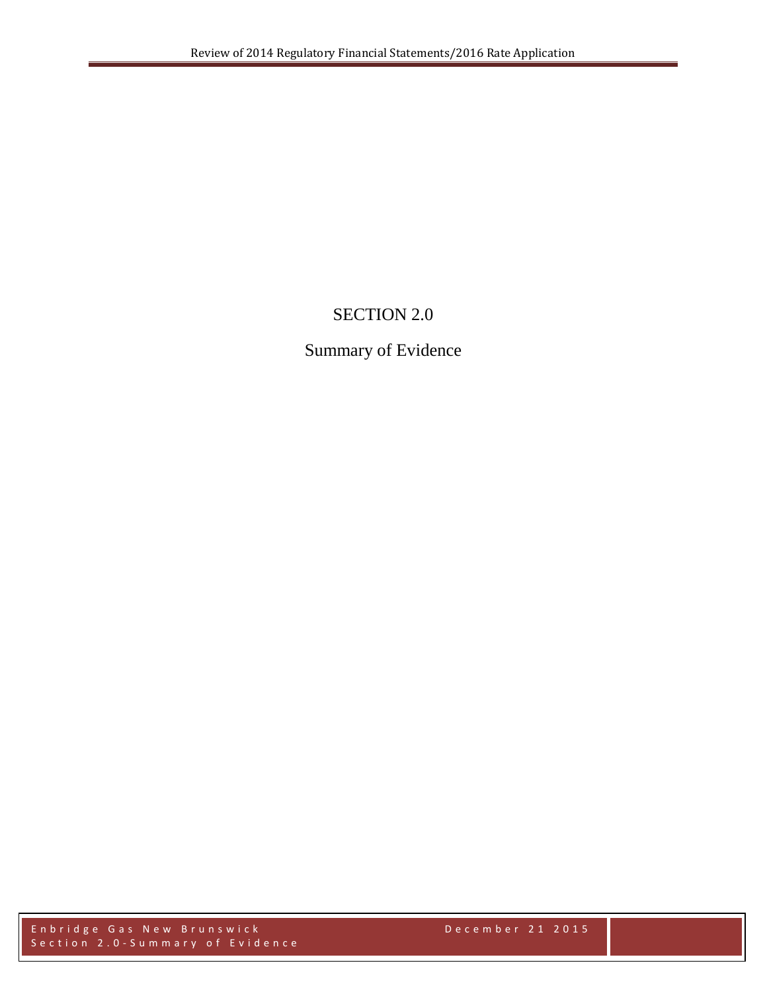# SECTION 2.0

# Summary of Evidence

Enbridge Gas New Brunswick December 21 2015 Section 2.0 - Summary of Evidence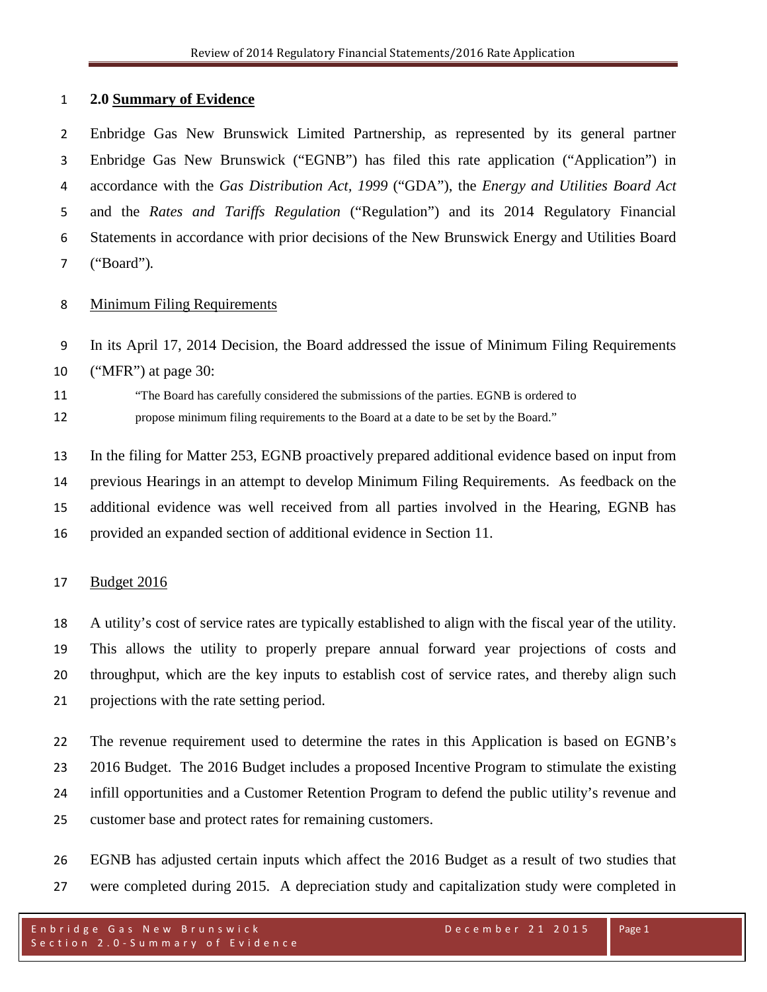### **2.0 Summary of Evidence**

 Enbridge Gas New Brunswick Limited Partnership, as represented by its general partner Enbridge Gas New Brunswick ("EGNB") has filed this rate application ("Application") in accordance with the *Gas Distribution Act, 1999* ("GDA"), the *Energy and Utilities Board Act* and the *Rates and Tariffs Regulation* ("Regulation") and its 2014 Regulatory Financial Statements in accordance with prior decisions of the New Brunswick Energy and Utilities Board ("Board")*.* 

### Minimum Filing Requirements

 In its April 17, 2014 Decision, the Board addressed the issue of Minimum Filing Requirements ("MFR") at page 30:

 "The Board has carefully considered the submissions of the parties. EGNB is ordered to propose minimum filing requirements to the Board at a date to be set by the Board."

 In the filing for Matter 253, EGNB proactively prepared additional evidence based on input from previous Hearings in an attempt to develop Minimum Filing Requirements. As feedback on the additional evidence was well received from all parties involved in the Hearing, EGNB has provided an expanded section of additional evidence in Section 11.

### Budget 2016

 A utility's cost of service rates are typically established to align with the fiscal year of the utility. This allows the utility to properly prepare annual forward year projections of costs and throughput, which are the key inputs to establish cost of service rates, and thereby align such projections with the rate setting period.

 The revenue requirement used to determine the rates in this Application is based on EGNB's 2016 Budget. The 2016 Budget includes a proposed Incentive Program to stimulate the existing infill opportunities and a Customer Retention Program to defend the public utility's revenue and customer base and protect rates for remaining customers.

 EGNB has adjusted certain inputs which affect the 2016 Budget as a result of two studies that were completed during 2015. A depreciation study and capitalization study were completed in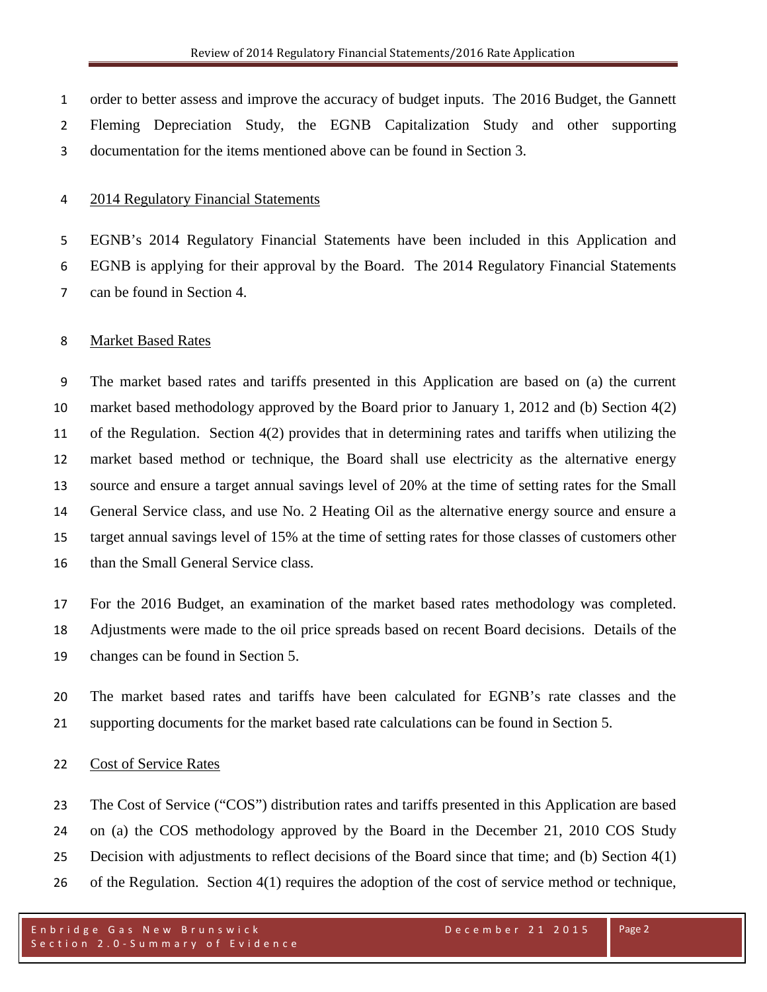order to better assess and improve the accuracy of budget inputs. The 2016 Budget, the Gannett Fleming Depreciation Study, the EGNB Capitalization Study and other supporting documentation for the items mentioned above can be found in Section 3.

## 2014 Regulatory Financial Statements

 EGNB's 2014 Regulatory Financial Statements have been included in this Application and EGNB is applying for their approval by the Board. The 2014 Regulatory Financial Statements can be found in Section 4.

### Market Based Rates

 The market based rates and tariffs presented in this Application are based on (a) the current market based methodology approved by the Board prior to January 1, 2012 and (b) Section 4(2) of the Regulation. Section 4(2) provides that in determining rates and tariffs when utilizing the market based method or technique, the Board shall use electricity as the alternative energy source and ensure a target annual savings level of 20% at the time of setting rates for the Small General Service class, and use No. 2 Heating Oil as the alternative energy source and ensure a target annual savings level of 15% at the time of setting rates for those classes of customers other 16 than the Small General Service class.

 For the 2016 Budget, an examination of the market based rates methodology was completed. Adjustments were made to the oil price spreads based on recent Board decisions. Details of the changes can be found in Section 5.

 The market based rates and tariffs have been calculated for EGNB's rate classes and the supporting documents for the market based rate calculations can be found in Section 5.

### 22 Cost of Service Rates

 The Cost of Service ("COS") distribution rates and tariffs presented in this Application are based on (a) the COS methodology approved by the Board in the December 21, 2010 COS Study Decision with adjustments to reflect decisions of the Board since that time; and (b) Section 4(1) of the Regulation. Section 4(1) requires the adoption of the cost of service method or technique,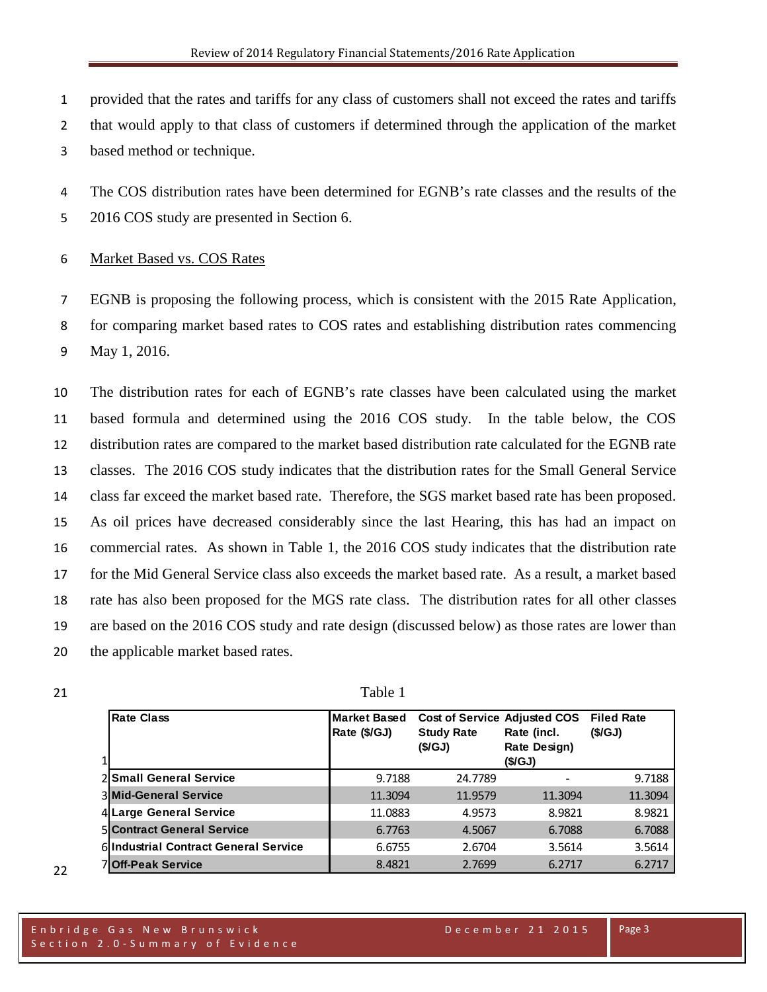- provided that the rates and tariffs for any class of customers shall not exceed the rates and tariffs
- that would apply to that class of customers if determined through the application of the market
- based method or technique.
- The COS distribution rates have been determined for EGNB's rate classes and the results of the
- 2016 COS study are presented in Section 6.

# Market Based vs. COS Rates

 EGNB is proposing the following process, which is consistent with the 2015 Rate Application, for comparing market based rates to COS rates and establishing distribution rates commencing May 1, 2016.

 The distribution rates for each of EGNB's rate classes have been calculated using the market based formula and determined using the 2016 COS study. In the table below, the COS distribution rates are compared to the market based distribution rate calculated for the EGNB rate classes. The 2016 COS study indicates that the distribution rates for the Small General Service class far exceed the market based rate. Therefore, the SGS market based rate has been proposed. As oil prices have decreased considerably since the last Hearing, this has had an impact on commercial rates. As shown in Table 1, the 2016 COS study indicates that the distribution rate for the Mid General Service class also exceeds the market based rate. As a result, a market based rate has also been proposed for the MGS rate class. The distribution rates for all other classes are based on the 2016 COS study and rate design (discussed below) as those rates are lower than the applicable market based rates.

 **Rate Class Market Based Market Based Rate (\$/GJ) Cost of Service Adjusted COS Study Rate (\$/GJ) Rate (incl. Rate Design) (\$/GJ) Filed Rate (\$/GJ) Small General Service** 9.7188 24.7789 - 9.7188 **Mid-General Service** 11.3094 11.9579 11.3094 11.3094 **Large General Service** 11.0883 4.9573 8.9821 8.9821 **Contract General Service** 6.7763 4.5067 6.7088 6.7088 **Industrial Contract General Service** 6.6755 2.6704 3.5614 3.5614 **Off-Peak Service** 8.4821 2.7699 6.2717 6.2717

21 Table 1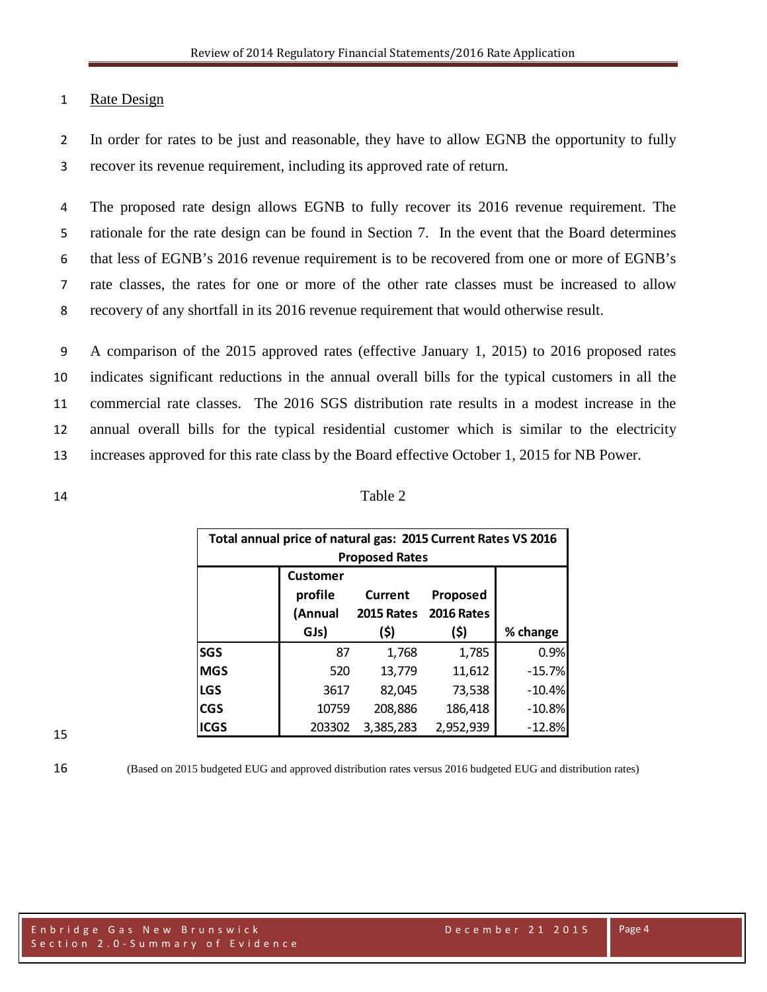# 1 Rate Design

2 In order for rates to be just and reasonable, they have to allow EGNB the opportunity to fully 3 recover its revenue requirement, including its approved rate of return.

 The proposed rate design allows EGNB to fully recover its 2016 revenue requirement. The rationale for the rate design can be found in Section 7. In the event that the Board determines that less of EGNB's 2016 revenue requirement is to be recovered from one or more of EGNB's rate classes, the rates for one or more of the other rate classes must be increased to allow recovery of any shortfall in its 2016 revenue requirement that would otherwise result.

 A comparison of the 2015 approved rates (effective January 1, 2015) to 2016 proposed rates indicates significant reductions in the annual overall bills for the typical customers in all the commercial rate classes. The 2016 SGS distribution rate results in a modest increase in the annual overall bills for the typical residential customer which is similar to the electricity increases approved for this rate class by the Board effective October 1, 2015 for NB Power.

| 14 | Table 2 |
|----|---------|
|    |         |

|                       | Total annual price of natural gas: 2015 Current Rates VS 2016 |           |                       |          |  |  |  |  |  |  |
|-----------------------|---------------------------------------------------------------|-----------|-----------------------|----------|--|--|--|--|--|--|
| <b>Proposed Rates</b> |                                                               |           |                       |          |  |  |  |  |  |  |
|                       | <b>Customer</b>                                               |           |                       |          |  |  |  |  |  |  |
|                       | profile                                                       | Current   | Proposed              |          |  |  |  |  |  |  |
|                       | (Annual                                                       |           | 2015 Rates 2016 Rates |          |  |  |  |  |  |  |
|                       | GJs)                                                          | (\$)      | (\$)                  | % change |  |  |  |  |  |  |
| <b>SGS</b>            | 87                                                            | 1,768     | 1,785                 | 0.9%     |  |  |  |  |  |  |
| <b>MGS</b>            | 520                                                           | 13,779    | 11,612                | $-15.7%$ |  |  |  |  |  |  |
| <b>LGS</b>            | 3617                                                          | 82,045    | 73,538                | $-10.4%$ |  |  |  |  |  |  |
| <b>CGS</b>            | 10759                                                         | 208,886   | 186,418               | $-10.8%$ |  |  |  |  |  |  |
| <b>ICGS</b>           | 203302                                                        | 3,385,283 | 2,952,939             | $-12.8%$ |  |  |  |  |  |  |

15

16 (Based on 2015 budgeted EUG and approved distribution rates versus 2016 budgeted EUG and distribution rates)